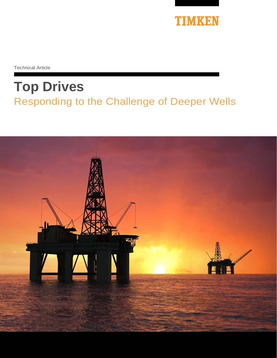

Technical Article

# **Top Drives**  Responding to the Challenge of Deeper Wells

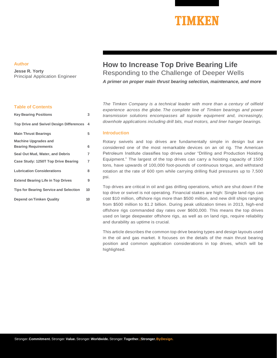## **TIMKEN**

#### **Author**

**Jesse R. Yorty** Principal Application Engineer

#### **Table of Contents**

| <b>Key Bearing Positions</b>                   | 3  |
|------------------------------------------------|----|
| <b>Top Drive and Swivel Design Differences</b> | 4  |
| <b>Main Thrust Bearings</b>                    | 5  |
| <b>Machine Upgrades and</b>                    | 6  |
| <b>Bearing Requirements</b>                    |    |
| Seal Out Mud, Water, and Debris                | 7  |
| Case Study: 1250T Top Drive Bearing            | 7  |
| <b>Lubrication Considerations</b>              | 8  |
| <b>Extend Bearing Life in Top Drives</b>       | 9  |
| <b>Tips for Bearing Service and Selection</b>  | 10 |
| <b>Depend on Timken Quality</b>                | 10 |

### **How to Increase Top Drive Bearing Life** Responding to the Challenge of Deeper Wells

*A primer on proper main thrust bearing selection, maintenance, and more*

*The Timken Company is a technical leader with more than a century of oilfield experience across the globe. The complete line of Timken bearings and power transmission solutions encompasses all topside equipment and, increasingly, downhole applications including drill bits, mud motors, and liner hanger bearings.*

#### **Introduction**

Rotary swivels and top drives are fundamentally simple in design but are considered one of the most remarkable devices on an oil rig. The American Petroleum Institute classifies top drives under "Drilling and Production Hoisting Equipment." The largest of the top drives can carry a hoisting capacity of 1500 tons, have upwards of 100,000 foot-pounds of continuous torque, and withstand rotation at the rate of 600 rpm while carrying drilling fluid pressures up to 7,500 psi.

Top drives are critical in oil and gas drilling operations, which are shut down if the top drive or swivel is not operating. Financial stakes are high: Single land rigs can cost \$10 million, offshore rigs more than \$500 million, and new drill ships ranging from \$500 million to \$1.2 billion. During peak utilization times in 2013, high-end offshore rigs commanded day rates over \$600,000. This means the top drives used on large deepwater offshore rigs, as well as on land rigs, require reliability and durability as uptime is crucial.

This article describes the common top drive bearing types and design layouts used in the oil and gas market. It focuses on the details of the main thrust bearing position and common application considerations in top drives, which will be highlighted.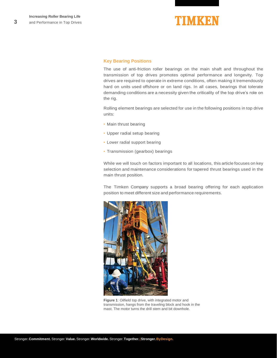

#### <span id="page-2-0"></span>**Key Bearing Positions**

The use of anti-friction roller bearings on the main shaft and throughout the transmission of top drives promotes optimal performance and longevity. Top drives are required to operate in extreme conditions, often making it tremendously hard on units used offshore or on land rigs. In all cases, bearings that tolerate demanding conditions are a necessity given the criticality of the top drive's role on the rig.

Rolling element bearings are selected for use in the following positions in top drive units:

- Main thrust bearing
- Upper radial setup bearing
- Lower radial support bearing
- Transmission (gearbox) bearings

While we will touch on factors important to all locations, this article focuses on key selection and maintenance considerations for tapered thrust bearings used in the main thrust position.

The Timken Company supports a broad bearing offering for each application position to meet different size and performance requirements.



**Figure 1**: Oilfield top drive, with integrated motor and transmission, hangs from the traveling block and hook in the mast. The motor turns the drill stem and bit downhole.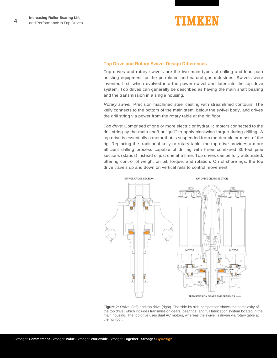

#### <span id="page-3-0"></span>**Top Drive and Rotary Swivel Design Differences**

Top drives and rotary swivels are the two main types of drilling and load path hoisting equipment for the petroleum and natural gas industries. Swivels were invented first, which evolved into the power swivel and later into the top drive system. Top drives can generally be described as having the main shaft bearing and the transmission in a single housing.

*Rotary swivel:* Precision machined steel casting with streamlined contours. The kelly connects to the bottom of the main stem, below the swivel body, and drives the drill string via power from the rotary table at the rig floor.

*Top drive:* Comprised of one or more electric or hydraulic motors connected to the drill string by the main shaft or "quill" to apply clockwise torque during drilling. A top drive is essentially a motor that is suspended from the derrick, or mast, of the rig. Replacing the traditional kelly or rotary table, the top drive provides a more efficient drilling process capable of drilling with three combined 30-foot pipe sections (stands) instead of just one at a time. Top drives can be fully automated, offering control of weight on bit, torque, and rotation. On offshore rigs, the top drive travels up and down on vertical rails to control movement.



<span id="page-3-1"></span>**Figure 2:** Swivel (left) and top drive (right). The side-by side comparison shows the complexity of the top drive, which includes transmission gears, bearings, and full lubrication system located in the main housing. The top drive uses dual AC motors, whereas the swivel is driven via rotary table at the rig floor.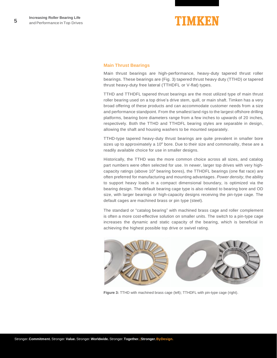

#### **Main Thrust Bearings**

Main thrust bearings are high-performance, heavy-duty tapered thrust roller bearings. These bearings are (Fig. 3) tapered thrust heavy duty (TTHD) or tapered thrust heavy-duty free lateral (TTHDFL or V-flat) types.

TTHD and TTHDFL tapered thrust bearings are the most utilized type of main thrust roller bearing used on a top drive's drive stem, quill, or main shaft. Timken has a very broad offering of these products and can accommodate customer needs from a size and performance standpoint. From the smallest land rigs to the largest offshore drilling platforms, bearing bore diameters range from a few inches to upwards of 20 inches, respectively. Both the TTHD and TTHDFL bearing styles are separable in design, allowing the shaft and housing washers to be mounted separately.

TTHD-type tapered heavy-duty thrust bearings are quite prevalent in smaller bore sizes up to approximately a 10″ bore. Due to their size and commonality, these are a readily available choice for use in smaller designs.

Historically, the TTHD was the more common choice across all sizes, and catalog part numbers were often selected for use. In newer, larger top drives with very highcapacity ratings (above 10″ bearing bores), the TTHDFL bearings (one flat race) are often preferred for manufacturing and mounting advantages. *Power density*, the ability to support heavy loads in a compact dimensional boundary, is optimized via the bearing design. The default bearing cage type is also related to bearing bore and OD size, with larger bearings or high-capacity designs receiving the pin-type cage. The default cages are machined brass or pin type (steel).

The standard or "catalog bearing" with machined brass cage and roller complement is often a more cost-effective solution on smaller units. The switch to a pin-type cage increases the dynamic and static capacity of the bearing, which is beneficial in achieving the highest possible top drive or swivel rating.



**Figure 3:** TTHD with machined brass cage (left); TTHDFL with pin-type cage (right).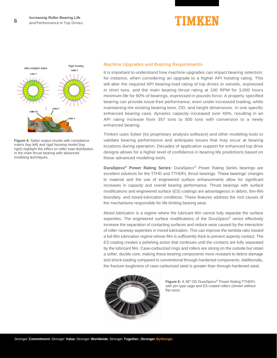



**Figure 4:** Syber output results with compliance matrix (top left) and rigid housing model (top right) highlight the effect on roller load distribution in the main thrust bearing with advanced modeling techniques.

#### **Machine Upgrades and Bearing Requirements**

It is important to understand how machine upgrades can impact bearing selection; for instance, when considering an upgrade to a higher API hoisting rating. This will alter the required API bearing-load rating of top drives or swivels, expressed in short tons, and the main bearing thrust rating at 100 RPM for 3,000 hours minimum life for 90% of bearings, expressed in pounds force. A properly specified bearing can provide issue-free performance, even under increased loading, while maintaining the existing bearing bore, OD, and height dimensions. In one specific enhanced bearing case, dynamic capacity increased over 40%, resulting in an API rating increase from 357 tons to 500 tons with conversion to a newly enhanced bearing.

Timken uses Syber (its proprietary analysis software) and other modeling tools to validate bearing performance and anticipate issues that may occur at bearing locations during operation. Decades of application support for enhanced top drive designs allows for a higher level of confidence in bearing life predictions based on these advanced modeling tools.

**DuraSpexx® Power Rating Series:** DuraSpexx® Power Rating Series bearings are excellent solutions for the TTHD and TTHDFL thrust bearings. These bearings' changes to material and the use of engineered surface enhancements allow for significant increases in capacity and overall bearing performance. Thrust bearings with surface modifications and engineered surface (ES) coatings are advantageous in debris, thin-film boundary, and mixed-lubrication conditions. These features address the root causes of the mechanisms responsible for life-limiting bearing wear.

*Mixed lubrication* is a regime where the lubricant film cannot fully separate the surface asperities. The engineered surface modifications of the DuraSpexx® series effectively increase the separation of contacting surfaces and reduce wear caused by the interaction of roller-raceway asperities in mixed lubrication. This can improve the lambda ratio toward a full-film lubrication regime whose film is sufficiently thick to prevent asperity contact. The ES coating creates a polishing action that continues until the contacts are fully separated by the lubricant film. Case-carburized rings and rollers are strong on the outside but retain a softer, ductile core, making these bearing components more resistant to debris damage and shock loading compared to conventional through-hardened components. Additionally, the fracture toughness of case-carburized steel is greater than through-hardened steel.



**Figure 5:** A 36″ OD DuraSpexx*®* Power Rating TTHDFL with pin-type cage and ES coated rollers (shown without flat race).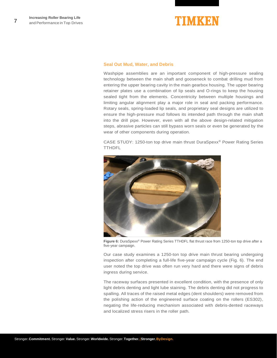

#### **Seal Out Mud, Water, and Debris**

Washpipe assemblies are an important component of high-pressure sealing technology between the main shaft and gooseneck to combat drilling mud from entering the upper bearing cavity in the main gearbox housing. The upper bearing retainer plates use a combination of lip seals and O-rings to keep the housing sealed tight from the elements. Concentricity between multiple housings and limiting angular alignment play a major role in seal and packing performance. Rotary seals, spring-loaded lip seals, and proprietary seal designs are utilized to ensure the high-pressure mud follows its intended path through the main shaft into the drill pipe. However, even with all the above design-related mitigation steps, abrasive particles can still bypass worn seals or even be generated by the wear of other components during operation.

CASE STUDY: 1250-ton top drive main thrust DuraSpexx® Power Rating Series TTHDFL



**Figure 6:** DuraSpexx® Power Rating Series TTHDFL flat thrust race from 1250-ton top drive after a five-year campaign.

Our case study examines a 1250-ton top drive main thrust bearing undergoing inspection after completing a full-life five-year campaign cycle (Fig. 6). The end user noted the top drive was often run very hard and there were signs of debris ingress during service.

The raceway surfaces presented in excellent condition, with the presence of only light debris denting and light lube staining. The debris denting did not progress to spalling. All traces of the raised metal edges (dent shoulders) were removed from the polishing action of the engineered surface coating on the rollers (ES302), negating the life-reducing mechanism associated with debris-dented raceways and localized stress risers in the roller path.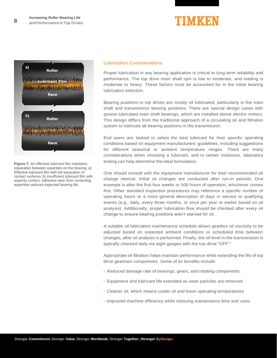



**Figure 7:** An effective lubricant film maintains separation between asperities on the bearing. a) Effective lubricant film with full separation of contact surfaces; b) insufficient lubricant film with asperity contact. Adhesive wear from contacting asperities reduces expected bearing life.

#### <span id="page-7-0"></span>**Lubrication Considerations**

Proper lubrication in any bearing application is critical to long-term reliability and performance. The top drive main shaft rpm is low to moderate, and loading is moderate to heavy. These factors must be accounted for in the initial bearing lubrication selection.

Bearing positions in top drives are mostly oil lubricated, particularly in the main shaft and transmission bearing positions. There are special design cases with grease lubricated main shaft bearings, which are installed above electric motors. This design differs from the traditional approach of a circulating oil and filtration system to lubricate all bearing positions in the transmission.

End users are tasked to select the best lubricant for their specific operating conditions based on equipment manufacturers' guidelines, including suggestions for different seasonal or ambient temperature ranges. There are many considerations when choosing a lubricant, and in certain instances, laboratory testing can help determine the ideal formulation.

One should consult with the equipment manufacturer for their recommended oil change interval. Initial oil changes are conducted after run-in periods. One example is after the first four weeks or 500 hours of operation, whichever comes first. Other standard inspection procedures may reference a specific number of operating hours or a more general description of days in service or qualifying events (e.g., daily, every three months, or once per year or earlier based on oil analysis). Additionally, proper lubrication flow should be checked after every oil change to ensure bearing positions aren't starved for oil.

A suitable oil lubrication maintenance schedule allows gearbox oil viscosity to be adjusted based on expected ambient conditions or scheduled time between changes, after oil analysis is performed. Finally, the oil level in the transmission is typically checked daily via sight gauges with the top drive "OFF."

Appropriate oil filtration helps maintain performance while extending the life of top drive geartrain components. Some of its benefits include:

- Reduced damage rate of bearings, gears, and rotating components
- Equipment and lubricant life extended as wear particles are removed
- Cleaner oil, which means cooler oil and lower operating temperatures
- Improved machine efficiency while reducing maintenance time and costs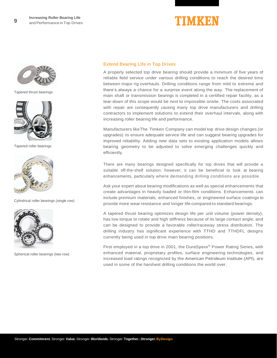



Tapered thrust bearings



Tapered roller bearings

<span id="page-8-0"></span>

Cylindrical roller bearings (single row)



Spherical roller bearings (two-row)

#### **Extend Bearing Life in Top Drives**

A properly selected top drive bearing should provide a minimum of five years of reliable field service under various drilling conditions to reach the desired time between major rig overhauls. Drilling conditions range from mild to extreme and there's always a chance for a surprise event along the way. The replacement of main shaft or transmission bearings is completed in a certified repair facility, as a tear-down of this scope would be next to impossible onsite. The costs associated with repair are consequently causing many top drive manufacturers and drilling contractors to implement solutions to extend their overhaul intervals, along with increasing roller bearing life and performance.

Manufacturers likeThe Timken Company can model top drive design changes (or upgrades) to ensure adequate service life and can suggest bearing upgrades for improved reliability. Adding new data sets to existing application models allows bearing geometry to be adjusted to solve emerging challenges quickly and efficiently.

There are many bearings designed specifically for top drives that will provide a suitable off-the-shelf solution; however, it can be beneficial to look at bearing enhancements, particularly where demanding drilling conditions are possible.

Ask your expert about bearing modifications as well as special enhancements that create advantages in heavily loaded or thin-film conditions. Enhancements can include premium materials, enhanced finishes, or engineered surface coatings to provide more wear resistance and longer life compared to standard bearings.

A tapered thrust bearing optimizes design life per unit volume (power density), has low torque to rotate and high stiffness because of its large contact angle, and can be designed to provide a favorable roller/raceway stress distribution. The drilling industry has significant experience with TTHD and TTHDFL designs currently being used in top drive main bearing positions.

First employed in a top drive in 2001, the DuraSpexx<sup>®</sup> Power Rating Series, with enhanced material, proprietary profiles, surface engineering technologies, and increased load ratings recognized by the American Petroleum Institute (API), are used in some of the harshest drilling conditions the world over.